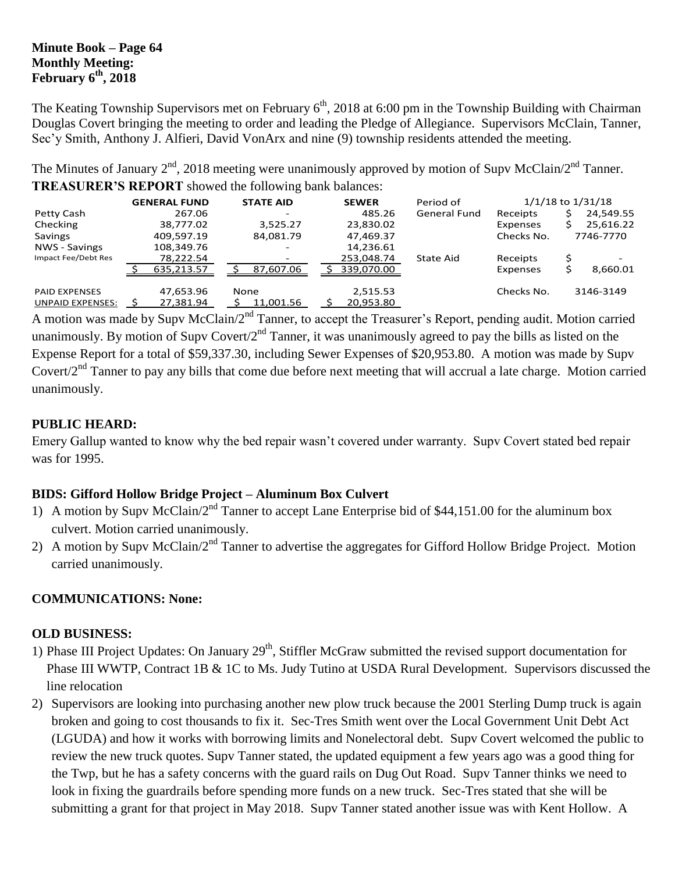#### **Minute Book – Page 64 Monthly Meeting: February 6th , 2018**

The Keating Township Supervisors met on February 6<sup>th</sup>, 2018 at 6:00 pm in the Township Building with Chairman Douglas Covert bringing the meeting to order and leading the Pledge of Allegiance. Supervisors McClain, Tanner, Sec'y Smith, Anthony J. Alfieri, David VonArx and nine (9) township residents attended the meeting.

The Minutes of January  $2^{nd}$ , 2018 meeting were unanimously approved by motion of Supv McClain/ $2^{nd}$  Tanner. **TREASURER'S REPORT** showed the following bank balances:

|                         | <b>GENERAL FUND</b> | <b>STATE AID</b> | <b>SEWER</b> | Period of           |            | $1/1/18$ to $1/31/18$ |
|-------------------------|---------------------|------------------|--------------|---------------------|------------|-----------------------|
| Petty Cash              | 267.06              |                  | 485.26       | <b>General Fund</b> | Receipts   | 24,549.55             |
| Checking                | 38,777.02           | 3,525.27         | 23,830.02    |                     | Expenses   | 25,616.22             |
| Savings                 | 409.597.19          | 84,081.79        | 47,469.37    |                     | Checks No. | 7746-7770             |
| NWS - Savings           | 108,349.76          |                  | 14,236.61    |                     |            |                       |
| Impact Fee/Debt Res     | 78,222.54           |                  | 253,048.74   | <b>State Aid</b>    | Receipts   |                       |
|                         | 635.213.57          | 87,607.06        | 339,070.00   |                     | Expenses   | 8,660.01              |
| <b>PAID EXPENSES</b>    | 47,653.96           | None             | 2,515.53     |                     | Checks No. | 3146-3149             |
| <b>UNPAID EXPENSES:</b> | 27,381.94           | 11,001.56        | 20,953.80    |                     |            |                       |

A motion was made by Supv McClain/2<sup>nd</sup> Tanner, to accept the Treasurer's Report, pending audit. Motion carried unanimously. By motion of Supv Covert/2<sup>nd</sup> Tanner, it was unanimously agreed to pay the bills as listed on the Expense Report for a total of \$59,337.30, including Sewer Expenses of \$20,953.80. A motion was made by Supv Covert/ $2<sup>nd</sup>$  Tanner to pay any bills that come due before next meeting that will accrual a late charge. Motion carried unanimously.

### **PUBLIC HEARD:**

Emery Gallup wanted to know why the bed repair wasn't covered under warranty. Supv Covert stated bed repair was for 1995.

# **BIDS: Gifford Hollow Bridge Project – Aluminum Box Culvert**

- 1) A motion by Supv McClain/2nd Tanner to accept Lane Enterprise bid of \$44,151.00 for the aluminum box culvert. Motion carried unanimously.
- 2) A motion by Supv McClain/2<sup>nd</sup> Tanner to advertise the aggregates for Gifford Hollow Bridge Project. Motion carried unanimously.

## **COMMUNICATIONS: None:**

#### **OLD BUSINESS:**

- 1) Phase III Project Updates: On January  $29<sup>th</sup>$ , Stiffler McGraw submitted the revised support documentation for Phase III WWTP, Contract 1B & 1C to Ms. Judy Tutino at USDA Rural Development. Supervisors discussed the line relocation
- 2) Supervisors are looking into purchasing another new plow truck because the 2001 Sterling Dump truck is again broken and going to cost thousands to fix it. Sec-Tres Smith went over the Local Government Unit Debt Act (LGUDA) and how it works with borrowing limits and Nonelectoral debt. Supv Covert welcomed the public to review the new truck quotes. Supv Tanner stated, the updated equipment a few years ago was a good thing for the Twp, but he has a safety concerns with the guard rails on Dug Out Road. Supv Tanner thinks we need to look in fixing the guardrails before spending more funds on a new truck. Sec-Tres stated that she will be submitting a grant for that project in May 2018. Supv Tanner stated another issue was with Kent Hollow. A